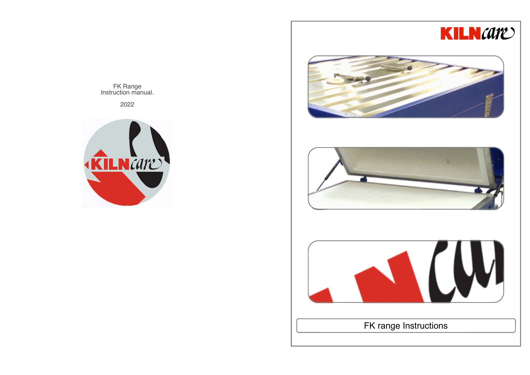







FK range Instructions

FK Range Instruction manual.

2022

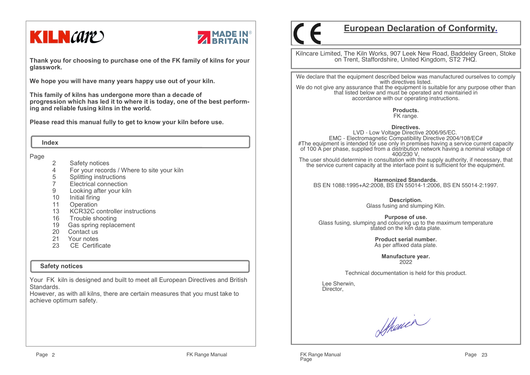# **KILN** CATE



**Thank you for choosing to purchase one of the FK family of kilns for your glasswork.**

**We hope you will have many years happy use out of your kiln.** 

**This family of kilns has undergone more than a decade of progression which has led it to where it is today, one of the best performing and reliable fusing kilns in the world.**

**Please read this manual fully to get to know your kiln before use.**

 **Index**

Page

- 2 Safety notices
- 4 For your records / Where to site your kiln
- 
- 5 Splitting instructions<br>7 Electrical connection 7 Electrical connection
- 9 Looking after your kiln
- 10 Initial firing
- 11 Operation
- 13 KCR32C controller instructions
- 16 Trouble shooting
- 19 Gas spring replacement
- 20 Contact us
- 21 Your notes
- CE Certificate 23

#### **Safety notices**

Your FK kiln is designed and built to meet all European Directives and British Standards.

 However, as with all kilns, there are certain measures that you must take to achieve optimum safety.

# **European Declaration of Conformity.**

Kilncare Limited, The Kiln Works, 907 Leek New Road, Baddeley Green, Stoke on Trent, Staffordshire, United Kingdom, ST2 7HQ.

We declare that the equipment described below was manufactured ourselves to comply with directives listed. We do not give any assurance that the equipment is suitable for any purpose other than that listed below and must be operated and maintained in accordance with our operating instructions.

> **Products.**FK range.

**Directives.** LVD - Low Voltage Directive 2006/95/EC. EMC - Electromagnetic Compatibility Directive 2004/108/EC# #The equipment is intended for use only in premises having a service current capacity of 100 A per phase, supplied from a distribution network having a nominal voltage of 400/230 V,

 The user should determine in consultation with the supply authority, if necessary, that the service current capacity at the interface point is sufficient for the equipment.

**Harmonized Standards.**BS EN 1088:1995+A2:2008, BS EN 55014-1:2006, BS EN 55014-2:1997.

> **Description.** Glass fusing and slumping Kiln.

**Purpose of use.** Glass fusing, slumping and colouring up to the maximum temperature stated on the kiln data plate.

> **Product serial number.**As per affixed data plate.

> > **Manufacture year.**2022

Technical documentation is held for this product.

 Lee Sherwin,Director,

Sthouer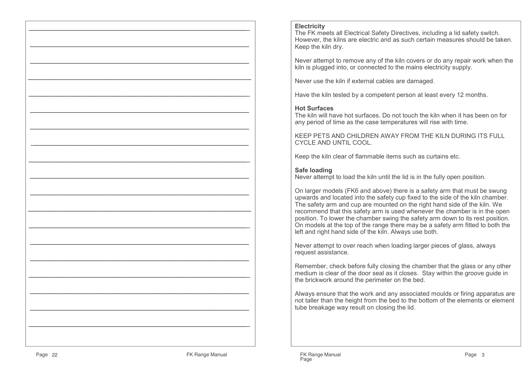#### **Electricity**

 The FK meets all Electrical Safety Directives, including a lid safety switch. However, the kilns are electric and as such certain measures should be taken.Keep the kiln dry.

Never attempt to remove any of the kiln covers or do any repair work when the kiln is plugged into, or connected to the mains electricity supply.

Never use the kiln if external cables are damaged.

Have the kiln tested by a competent person at least every 12 months.

#### **Hot Surfaces**

 The kiln will have hot surfaces. Do not touch the kiln when it has been on for any period of time as the case temperatures will rise with time.

KEEP PETS AND CHILDREN AWAY FROM THE KILN DURING ITS FULL CYCLE AND UNTIL COOL.

Keep the kiln clear of flammable items such as curtains etc.

#### **Safe loading**

Never attempt to load the kiln until the lid is in the fully open position.

On larger models (FK6 and above) there is a safety arm that must be swung upwards and located into the safety cup fixed to the side of the kiln chamber. The safety arm and cup are mounted on the right hand side of the kiln. We recommend that this safety arm is used whenever the chamber is in the open position. To lower the chamber swing the safety arm down to its rest position. On models at the top of the range there may be a safety arm fitted to both the left and right hand side of the kiln. Always use both.

Never attempt to over reach when loading larger pieces of glass, always request assistance.

Remember, check before fully closing the chamber that the glass or any other medium is clear of the door seal as it closes. Stay within the groove guide in the brickwork around the perimeter on the bed.

Always ensure that the work and any associated moulds or firing apparatus are not taller than the height from the bed to the bottom of the elements or element tube breakage way result on closing the lid.

—————————————————————————————-

—————————————————————————————

 $\mathcal{L}=\{x\in\mathcal{L}^{\infty}\mid x\in\mathcal{L}^{\infty}\}$ 

—————————————————————————————–

—————————————————————————————-

 $\mathcal{L}=\{x\in\mathcal{L}^{\infty}\mid x\in\mathcal{L}^{\infty}\}$ 

—————————————————————————————

-denote the contract of  $\mathcal{L}$  -denote the contract of  $\mathcal{L}$  -denote the contract of  $\mathcal{L}$ 

 $\mathcal{L}=\{x_1,\ldots,x_n\}$  , we can assume that  $\mathcal{L}=\{x_1,\ldots,x_n\}$  , we can assume that

—————————————————————————————

—————————————————————————————

 $\mathcal{L}=\{x_1,\ldots,x_n\}$  , we can assume that  $\mathcal{L}=\{x_1,\ldots,x_n\}$ 

—————————————————————————————-

—————————————————————————————

 $\mathcal{L}=\{x\in\mathcal{L}^{\infty}\mid x\in\mathcal{L}^{\infty}\}$ 

—————————————————————————————-

—————————————————————————————

 $\mathcal{L}=\{x\in\mathcal{L}^{\infty}\mid x\in\mathcal{L}^{\infty}\}$ 

—————————————————————————————-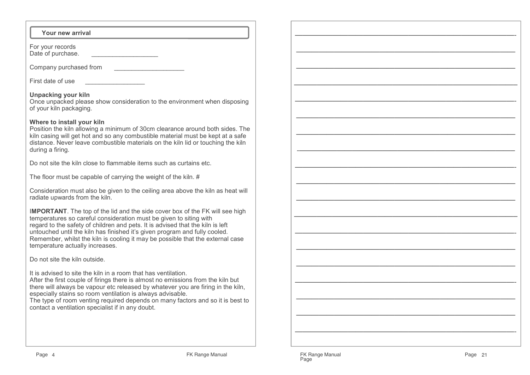| <b>Your new arrival</b> |  |  |  |
|-------------------------|--|--|--|
|-------------------------|--|--|--|

For your recordsDate of purchase. \_\_\_\_\_\_\_\_\_\_\_\_\_\_\_\_\_\_\_\_\_\_

Company purchased from

First date of use \_\_\_\_\_\_\_\_\_\_\_\_\_\_\_\_\_

#### **Unpacking your kiln**

 Once unpacked please show consideration to the environment when disposing of your kiln packaging.

#### **Where to install your kiln**

 Position the kiln allowing a minimum of 30cm clearance around both sides. The kiln casing will get hot and so any combustible material must be kept at a safe distance. Never leave combustible materials on the kiln lid or touching the kiln during a firing.

Do not site the kiln close to flammable items such as curtains etc.

The floor must be capable of carrying the weight of the kiln. #

Consideration must also be given to the ceiling area above the kiln as heat will radiate upwards from the kiln.

I**MPORTANT**. The top of the lid and the side cover box of the FK will see high temperatures so careful consideration must be given to siting with regard to the safety of children and pets. It is advised that the kiln is left untouched until the kiln has finished it's given program and fully cooled. Remember, whilst the kiln is cooling it may be possible that the external case temperature actually increases.

Do not site the kiln outside.

It is advised to site the kiln in a room that has ventilation.

 After the first couple of firings there is almost no emissions from the kiln but there will always be vapour etc released by whatever you are firing in the kiln, especially stains so room ventilation is always advisable.

 The type of room venting required depends on many factors and so it is best to contact a ventilation specialist if in any doubt.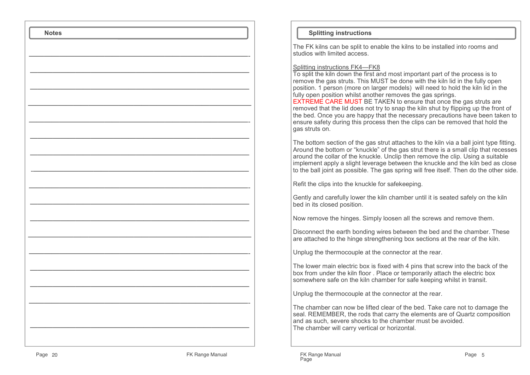| <b>Notes</b> |  |
|--------------|--|
|              |  |
|              |  |
|              |  |
|              |  |
|              |  |
|              |  |
|              |  |
|              |  |
|              |  |
|              |  |
|              |  |
|              |  |
|              |  |
|              |  |
|              |  |
|              |  |
|              |  |
|              |  |
|              |  |
|              |  |
|              |  |
|              |  |
|              |  |

#### **Splitting instructions**

The FK kilns can be split to enable the kilns to be installed into rooms and studios with limited access.

Splitting instructions FK4—FK8

 To split the kiln down the first and most important part of the process is to remove the gas struts. This MUST be done with the kiln lid in the fully open position. 1 person (more on larger models) will need to hold the kiln lid in the fully open position whilst another removes the gas springs.

EXTREME CARE MUST BE TAKEN to ensure that once the gas struts are removed that the lid does not try to snap the kiln shut by flipping up the front of the bed. Once you are happy that the necessary precautions have been taken to ensure safety during this process then the clips can be removed that hold the gas struts on.

The bottom section of the gas strut attaches to the kiln via a ball joint type fitting. Around the bottom or "knuckle" of the gas strut there is a small clip that recesses around the collar of the knuckle. Unclip then remove the clip. Using a suitable implement apply a slight leverage between the knuckle and the kiln bed as close to the ball joint as possible. The gas spring will free itself. Then do the other side.

Refit the clips into the knuckle for safekeeping.

Gently and carefully lower the kiln chamber until it is seated safely on the kiln bed in its closed position.

Now remove the hinges. Simply loosen all the screws and remove them.

Disconnect the earth bonding wires between the bed and the chamber. These are attached to the hinge strengthening box sections at the rear of the kiln.

Unplug the thermocouple at the connector at the rear.

The lower main electric box is fixed with 4 pins that screw into the back of the box from under the kiln floor . Place or temporarily attach the electric box somewhere safe on the kiln chamber for safe keeping whilst in transit.

Unplug the thermocouple at the connector at the rear.

The chamber can now be lifted clear of the bed. Take care not to damage the seal. REMEMBER, the rods that carry the elements are of Quartz composition and as such, severe shocks to the chamber must be avoided.The chamber will carry vertical or horizontal.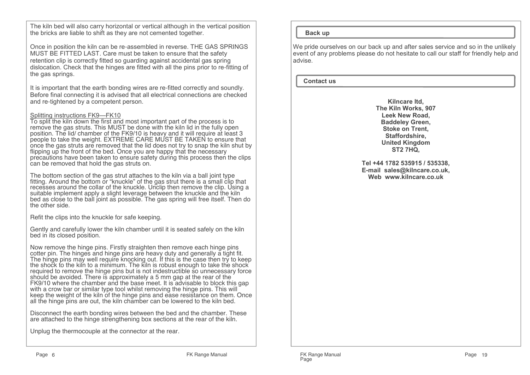The kiln bed will also carry horizontal or vertical although in the vertical position the bricks are liable to shift as they are not cemented together.

Once in position the kiln can be re-assembled in reverse. THE GAS SPRINGS MUST BE FITTED LAST. Care must be taken to ensure that the safety retention clip is correctly fitted so guarding against accidental gas spring dislocation. Check that the hinges are fitted with all the pins prior to re-fitting of the gas springs.

It is important that the earth bonding wires are re-fitted correctly and soundly. Before final connecting it is advised that all electrical connections are checked and re-tightened by a competent person.

#### Splitting instructions FK9—FK10

 To split the kiln down the first and most important part of the process is to remove the gas struts. This MUST be done with the kiln lid in the fully open position. The lid/ chamber of the FK9/10 is heavy and it will require at least 3 people to take the weight. EXTREME CARE MUST BE TAKEN to ensure that once the gas struts are removed that the lid does not try to snap the kiln shut by flipping up the front of the bed. Once you are happy that the necessary precautions have been taken to ensure safety during this process then the clips can be removed that hold the gas struts on.

The bottom section of the gas strut attaches to the kiln via a ball joint type fitting. Around the bottom or "knuckle" of the gas strut there is a small clip that recesses around the collar of the knuckle. Unclip then remove the clip. Using a suitable implement apply a slight leverage between the knuckle and the kiln bed as close to the ball joint as possible. The gas spring will free itself. Then do the other side.

Refit the clips into the knuckle for safe keeping.

Gently and carefully lower the kiln chamber until it is seated safely on the kiln bed in its closed position.

Now remove the hinge pins. Firstly straighten then remove each hinge pins cotter pin. The hinges and hinge pins are heavy duty and generally a tight fit. The hinge pins may well require knocking out. If this is the case then try to keep the shock to the kiln to a minimum. The kiln is robust enough to take the shock required to remove the hinge pins but is not indestructible so unnecessary force should be avoided. There is approximately a 5 mm gap at the rear of the FK9/10 where the chamber and the base meet. It is advisable to block this gap with a crow bar or similar type tool whilst removing the hinge pins. This will keep the weight of the kiln of the hinge pins and ease resistance on them. Once all the hinge pins are out, the kiln chamber can be lowered to the kiln bed.

Disconnect the earth bonding wires between the bed and the chamber. These are attached to the hinge strengthening box sections at the rear of the kiln.

Unplug the thermocouple at the connector at the rear.

#### **Back up**

We pride ourselves on our back up and after sales service and so in the unlikely event of any problems please do not hesitate to call our staff for friendly help and advise.

#### **Contact us**

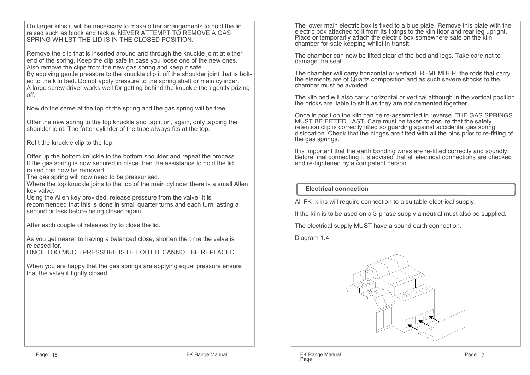On larger kilns it will be necessary to make other arrangements to hold the lid raised such as block and tackle. NEVER ATTEMPT TO REMOVE A GAS SPRING WHILST THE LID IS IN THE CLOSED POSITION.

Remove the clip that is inserted around and through the knuckle joint at either end of the spring. Keep the clip safe in case you loose one of the new ones.Also remove the clips from the new gas spring and keep it safe. By applying gentle pressure to the knuckle clip it off the shoulder joint that is bolted to the kiln bed. Do not apply pressure to the spring shaft or main cylinder. A large screw driver works well for getting behind the knuckle then gently prizing off.

Now do the same at the top of the spring and the gas spring will be free.

Offer the new spring to the top knuckle and tap it on, again, only tapping the shoulder joint. The fatter cylinder of the tube always fits at the top.

Refit the knuckle clip to the top.

Offer up the bottom knuckle to the bottom shoulder and repeat the process. If the gas spring is now secured in place then the assistance to hold the lid raised can now be removed.

The gas spring will now need to be pressurised.

 Where the top knuckle joins to the top of the main cylinder there is a small Allen key valve.

 Using the Allen key provided, release pressure from the valve. It is recommended that this is done in small quarter turns and each turn lasting a second or less before being closed again,

After each couple of releases try to close the lid.

As you get nearer to having a balanced close, shorten the time the valve is released for.

ONCE TOO MUCH PRESSURE IS LET OUT IT CANNOT BE REPLACED.

When you are happy that the gas springs are applying equal pressure ensure that the valve it tightly closed.

The lower main electric box is fixed to a blue plate. Remove this plate with the electric box attached to it from its fixings to the kiln floor and rear leg upright. Place or temporarily attach the electric box somewhere safe on the kiln chamber for safe keeping whilst in transit.

The chamber can now be lifted clear of the bed and legs. Take care not to damage the seal.

The chamber will carry horizontal or vertical. REMEMBER, the rods that carry the elements are of Quartz composition and as such severe shocks to the chamber must be avoided.

The kiln bed will also carry horizontal or vertical although in the vertical position the bricks are liable to shift as they are not cemented together.

Once in position the kiln can be re-assembled in reverse. THE GAS SPRINGS MUST BE FITTED LAST. Care must be taken to ensure that the safety retention clip is correctly fitted so guarding against accidental gas spring dislocation. Check that the hinges are fitted with all the pins prior to re-fitting of the gas springs.

It is important that the earth bonding wires are re-fitted correctly and soundly. Before final connecting it is advised that all electrical connections are checked and re-tightened by a competent person.

#### **Electrical connection**

All FK kilns will require connection to a suitable electrical supply.

If the kiln is to be used on a 3-phase supply a neutral must also be supplied.

The electrical supply MUST have a sound earth connection.

Diagram 1.4

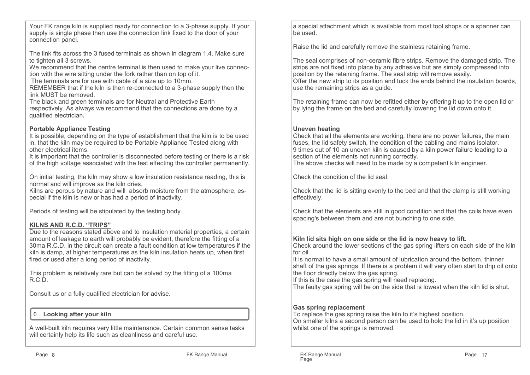Your FK range kiln is supplied ready for connection to a 3-phase supply. If your supply is single phase then use the connection link fixed to the door of your connection panel.

The link fits across the 3 fused terminals as shown in diagram 1.4. Make sure to tighten all 3 screws.

 We recommend that the centre terminal is then used to make your live connection with the wire sitting under the fork rather than on top of it.

The terminals are for use with cable of a size up to 10mm.

 REMEMBER that if the kiln is then re-connected to a 3-phase supply then the link MUST be removed.

 The black and green terminals are for Neutral and Protective Earth respectively. As always we recommend that the connections are done by a qualified electrician**.**

#### **Portable Appliance Testing**

 It is possible, depending on the type of establishment that the kiln is to be used in, that the kiln may be required to be Portable Appliance Tested along with other electrical items.

 It is important that the controller is disconnected before testing or there is a risk of the high voltage associated with the test effecting the controller permanently.

On initial testing, the kiln may show a low insulation resistance reading, this is normal and will improve as the kiln dries.

 Kilns are porous by nature and will absorb moisture from the atmosphere, especial if the kiln is new or has had a period of inactivity.

Periods of testing will be stipulated by the testing body.

#### **KILNS AND R.C.D. "TRIPS"**

 Due to the reasons stated above and to insulation material properties, a certain amount of leakage to earth will probably be evident, therefore the fitting of a 30ma R.C.D. in the circuit can create a fault condition at low temperatures if the kiln is damp, at higher temperatures as the kiln insulation heats up, when first fired or used after a long period of inactivity.

This problem is relatively rare but can be solved by the fitting of a 100ma R.C.D.

Consult us or a fully qualified electrician for advise.

#### **Looking after your kiln** $\Omega$

A well-built kiln requires very little maintenance. Certain common sense tasks will certainly help its life such as cleanliness and careful use.

a special attachment which is available from most tool shops or a spanner can be used.

Raise the lid and carefully remove the stainless retaining frame.

The seal comprises of non-ceramic fibre strips. Remove the damaged strip. Thestrips are not fixed into place by any adhesive but are simply compressed into position by the retaining frame. The seal strip will remove easily. Offer the new strip to its position and tuck the ends behind the insulation boards, use the remaining strips as a guide.

The retaining frame can now be refitted either by offering it up to the open lid or by lying the frame on the bed and carefully lowering the lid down onto it.

#### **Uneven heating**

 Check that all the elements are working, there are no power failures, the main fuses, the lid safety switch, the condition of the cabling and mains isolator. 9 times out of 10 an uneven kiln is caused by a kiln power failure leading to a section of the elements not running correctly.

The above checks will need to be made by a competent kiln engineer.

Check the condition of the lid seal.

Check that the lid is sitting evenly to the bed and that the clamp is still working effectively.

Check that the elements are still in good condition and that the coils have even spacing's between them and are not bunching to one side.

#### **Kiln lid sits high on one side or the lid is now heavy to lift.**

 Check around the lower sections of the gas spring lifters on each side of the kiln for oil.

 It is normal to have a small amount of lubrication around the bottom, thinner shaft of the gas springs. If there is a problem it will very often start to drip oil onto the floor directly below the gas spring.

If this is the case the gas spring will need replacing.

The faulty gas spring will be on the side that is lowest when the kiln lid is shut.

#### **Gas spring replacement**

 To replace the gas spring raise the kiln to it's highest position. On smaller kilns a second person can be used to hold the lid in it's up position whilst one of the springs is removed.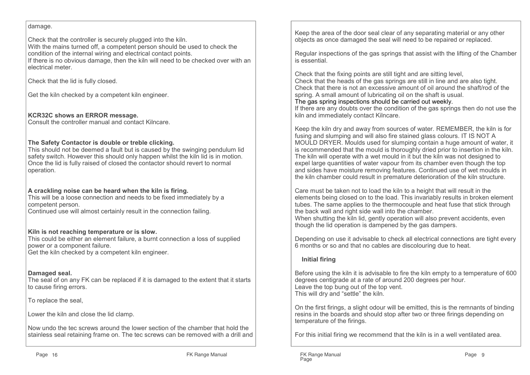#### damage.

Check that the controller is securely plugged into the kiln. With the mains turned off, a competent person should be used to check the condition of the internal wiring and electrical contact points. If there is no obvious damage, then the kiln will need to be checked over with an electrical meter.

Check that the lid is fully closed.

Get the kiln checked by a competent kiln engineer.

#### **KCR32C shows an ERROR message.**

Consult the controller manual and contact Kilncare.

#### **The Safety Contactor is double or treble clicking.**

 This should not be deemed a fault but is caused by the swinging pendulum lid safety switch. However this should only happen whilst the kiln lid is in motion. Once the lid is fully raised of closed the contactor should revert to normal operation.

#### **A crackling noise can be heard when the kiln is firing.**

 This will be a loose connection and needs to be fixed immediately by a competent person.

Continued use will almost certainly result in the connection failing.

#### **Kiln is not reaching temperature or is slow.**

 This could be either an element failure, a burnt connection a loss of supplied power or a component failure. Get the kiln checked by a competent kiln engineer.

#### **Damaged seal.**

 The seal of on any FK can be replaced if it is damaged to the extent that it starts to cause firing errors.

To replace the seal,

Lower the kiln and close the lid clamp.

Now undo the tec screws around the lower section of the chamber that hold the stainless seal retaining frame on. The tec screws can be removed with a drill and Keep the area of the door seal clear of any separating material or any other objects as once damaged the seal will need to be repaired or replaced.

Regular inspections of the gas springs that assist with the lifting of the Chamber is essential.

Check that the fixing points are still tight and are sitting level, Check that the heads of the gas springs are still in line and are also tight. Check that there is not an excessive amount of oil around the shaft/rod of the spring. A small amount of lubricating oil on the shaft is usual.

#### The gas spring inspections should be carried out weekly.

 If there are any doubts over the condition of the gas springs then do not use the kiln and immediately contact Kilncare.

Keep the kiln dry and away from sources of water. REMEMBER, the kiln is for fusing and slumping and will also fire stained glass colours. IT IS NOT A MOULD DRYER. Moulds used for slumping contain a huge amount of water, it is recommended that the mould is thoroughly dried prior to insertion in the kiln. The kiln will operate with a wet mould in it but the kiln was not designed to expel large quantities of water vapour from its chamber even though the top and sides have moisture removing features. Continued use of wet moulds in the kiln chamber could result in premature deterioration of the kiln structure.

Care must be taken not to load the kiln to a height that will result in the elements being closed on to the load. This invariably results in broken element tubes. The same applies to the thermocouple and heat fuse that stick through the back wall and right side wall into the chamber.

 When shutting the kiln lid, gently operation will also prevent accidents, even though the lid operation is dampened by the gas dampers.

Depending on use it advisable to check all electrical connections are tight every 6 months or so and that no cables are discolouring due to heat.

#### **Initial firing**

Before using the kiln it is advisable to fire the kiln empty to a temperature of 600 degrees centigrade at a rate of around 200 degrees per hour. Leave the top bung out of the top vent.This will dry and "settle" the kiln.

On the first firings, a slight odour will be emitted, this is the remnants of binding resins in the boards and should stop after two or three firings depending on temperature of the firings.

For this initial firing we recommend that the kiln is in a well ventilated area.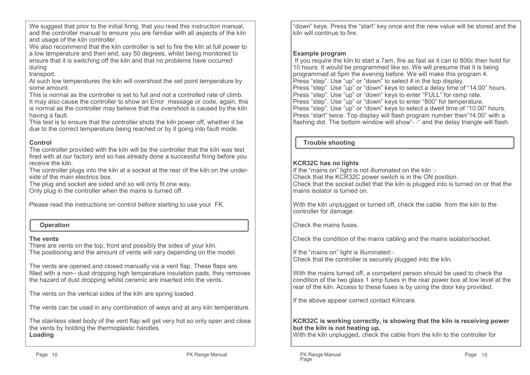We suggest that prior to the initial firing, that you read this instruction manual, and the controller manual to ensure you are familiar with all aspects of the kiln and usage of the kiln controller.

 We also recommend that the kiln controller is set to fire the kiln at full power to a low temperature and then end, say 50 degrees, whilst being monitored to ensure that it is switching off the kiln and that no problems have occurred during

transport.

 At such low temperatures the kiln will overshoot the set point temperature by some amount.

 This is normal as the controller is set to full and not a controlled rate of climb. It may also cause the controller to show an Error message or code, again, this is normal as the controller may believe that the overshoot is caused by the kiln having a fault.

 This test is to ensure that the controller shuts the kiln power off, whether it be due to the correct temperature being reached or by it going into fault mode.

#### **Control**

 The controller provided with the kiln will be the controller that the kiln was test fired with at our factory and so has already done a successful firing before you receive the kiln.

 The controller plugs into the kiln at a socket at the rear of the kiln on the underside of the main electrics box.

The plug and socket are sided and so will only fit one way.

Only plug in the controller when the mains is turned off.

Please read the instructions on control before starting to use your FK.

#### **Operation**

#### **The vents**

 There are vents on the top, front and possibly the sides of your kiln.The positioning and the amount of vents will vary depending on the model.

The vents are opened and closed manually via a vent flap. These flaps are filled with a non– dust dropping high temperature insulation pads, they removes the hazard of dust dropping whilst ceramic are inserted into the vents.

The vents on the vertical sides of the kiln are spring loaded.

The vents can be used in any combination of ways and at any kiln temperature.

The stainless steel body of the vent flap will get very hot so only open and close the vents by holding the thermoplastic handles.**Loading**

"down" keys. Press the "start" key once and the new value will be stored and the kiln will continue to fire.

#### **Example program**

 If you require the kiln to start a 7am, fire as fast as it can to 800c then hold for 10 hours. It would be programmed like so. We will presume that it is being programmed at 5pm the evening before. We will make this program 4.Press "step". Use "up" or "down" to select 4 in the top display. Press "step" Use "up" or "down" keys to select a delay time of "14.00" hours.Press "step". Use "up" or "down" keys to enter "FULL" for ramp rate. Press "step". Use "up" or "down" keys to enter "800" for temperature. Press "step". Use "up" or "down" keys to select a dwell time of "10.00" hours. Press "start" twice. Top display will flash program number then"14.00" with a flashing dot. The bottom window will show"- -" and the delay triangle will flash.

 **Trouble shooting**

#### **KCR32C has no lights**

 If the "mains on" light is not illuminated on the kiln :- Check that the KCR32C power switch is in the ON position. Check that the socket outlet that the kiln is plugged into is turned on or that the mains isolator is turned on.

With the kiln unplugged or turned off, check the cable from the kiln to the controller for damage.

Check the mains fuses.

Check the condition of the mains cabling and the mains isolator/socket.

If the "mains on" light is illuminated:- Check that the controller is securely plugged into the kiln.

With the mains turned off, a competent person should be used to check the condition of the two glass 1 amp fuses in the rear power box at low level at the rear of the kiln. Access to these fuses is by using the door key provided.

If the above appear correct contact Kilncare.

#### **KCR32C is working correctly, is showing that the kiln is receiving power but the kiln is not heating up.**

With the kiln unplugged, check the cable from the kiln to the controller for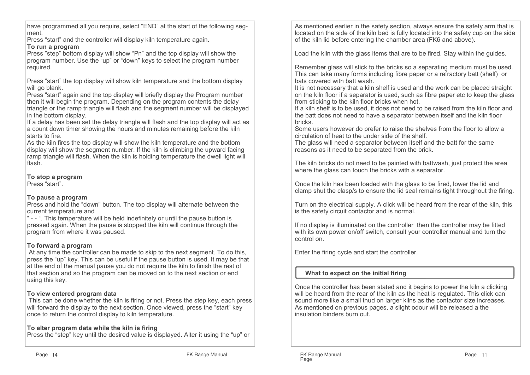have programmed all you require, select "END" at the start of the following segment.

Press "start" and the controller will display kiln temperature again.

#### **To run a program**

 Press "step" bottom display will show "Pn" and the top display will show the program number. Use the "up" or "down" keys to select the program number required.

Press "start" the top display will show kiln temperature and the bottom display will go blank.

 Press "start" again and the top display will briefly display the Program number then it will begin the program. Depending on the program contents the delay triangle or the ramp triangle will flash and the segment number will be displayed in the bottom display.

 If a delay has been set the delay triangle will flash and the top display will act as a count down timer showing the hours and minutes remaining before the kiln starts to fire.

 As the kiln fires the top display will show the kiln temperature and the bottom display will show the segment number. If the kiln is climbing the upward facing ramp triangle will flash. When the kiln is holding temperature the dwell light will flash.

#### **To stop a program**

Press "start".

#### **To pause a program**

 Press and hold the "down" button. The top display will alternate between the current temperature and

 " - - ". This temperature will be held indefinitely or until the pause button is pressed again. When the pause is stopped the kiln will continue through the program from where it was paused.

### **To forward a program**

 At any time the controller can be made to skip to the next segment. To do this, press the "up" key. This can be useful if the pause button is used. It may be that at the end of the manual pause you do not require the kiln to finish the rest of that section and so the program can be moved on to the next section or end using this key.

### **To view entered program data**

 This can be done whether the kiln is firing or not. Press the step key, each press will forward the display to the next section. Once viewed, press the "start" key once to return the control display to kiln temperature.

### **To alter program data while the kiln is firing**

Press the "step" key until the desired value is displayed. Alter it using the "up" or

As mentioned earlier in the safety section, always ensure the safety arm that is located on the side of the kiln bed is fully located into the safety cup on the side of the kiln lid before entering the chamber area (FK6 and above).

Load the kiln with the glass items that are to be fired. Stay within the guides.

Remember glass will stick to the bricks so a separating medium must be used. This can take many forms including fibre paper or a refractory batt (shelf) or bats covered with batt wash.

 It is not necessary that a kiln shelf is used and the work can be placed straight on the kiln floor if a separator is used, such as fibre paper etc to keep the glass from sticking to the kiln floor bricks when hot.

 If a kiln shelf is to be used, it does not need to be raised from the kiln floor and the batt does not need to have a separator between itself and the kiln floor bricks.

 Some users however do prefer to raise the shelves from the floor to allow a circulation of heat to the under side of the shelf.

 The glass will need a separator between itself and the batt for the same reasons as it need to be separated from the brick.

The kiln bricks do not need to be painted with battwash, just protect the area where the glass can touch the bricks with a separator.

Once the kiln has been loaded with the glass to be fired, lower the lid and clamp shut the clasp/s to ensure the lid seal remains tight throughout the firing.

Turn on the electrical supply. A click will be heard from the rear of the kiln, this is the safety circuit contactor and is normal.

If no display is illuminated on the controller then the controller may be fitted with its own power on/off switch, consult your controller manual and turn the control on.

Enter the firing cycle and start the controller.

## **What to expect on the initial firing**

Once the controller has been stated and it begins to power the kiln a clicking will be heard from the rear of the kiln as the heat is regulated. This click can sound more like a small thud on larger kilns as the contactor size increases.As mentioned on previous pages, a slight odour will be released a the insulation binders burn out.